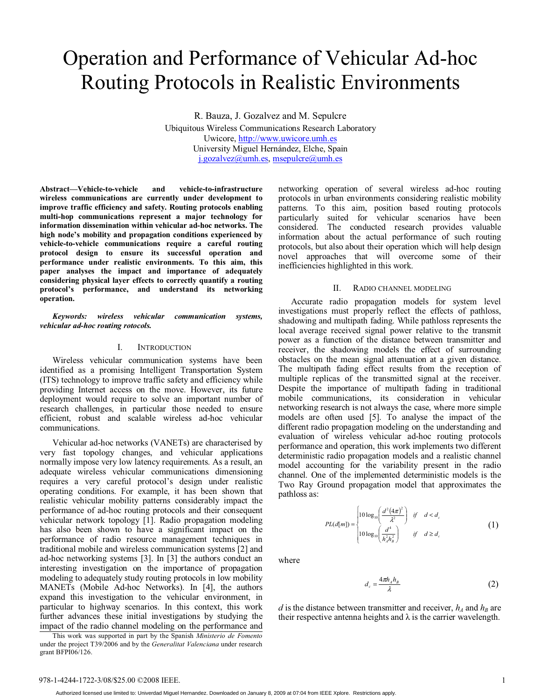# Operation and Performance of Vehicular Ad-hoc Routing Protocols in Realistic Environments

R. Bauza, J. Gozalvez and M. Sepulcre Ubiquitous Wireless Communications Research Laboratory Uwicore, http://www.uwicore.umh.es University Miguel Hernández, Elche, Spain  $j.gozalvez@umb. es, mespulcre@umb. es$ 

**Abstract—Vehicle-to-vehicle and vehicle-to-infrastructure wireless communications are currently under development to improve traffic efficiency and safety. Routing protocols enabling multi-hop communications represent a major technology for information dissemination within vehicular ad-hoc networks. The high node's mobility and propagation conditions experienced by vehicle-to-vehicle communications require a careful routing protocol design to ensure its successful operation and performance under realistic environments. To this aim, this paper analyses the impact and importance of adequately considering physical layer effects to correctly quantify a routing protocol's performance, and understand its networking operation.** 

*Keywords: wireless vehicular communication systems, vehicular ad-hoc routing rotocols.* 

# I. INTRODUCTION

Wireless vehicular communication systems have been identified as a promising Intelligent Transportation System (ITS) technology to improve traffic safety and efficiency while providing Internet access on the move. However, its future deployment would require to solve an important number of research challenges, in particular those needed to ensure efficient, robust and scalable wireless ad-hoc vehicular communications.

Vehicular ad-hoc networks (VANETs) are characterised by very fast topology changes, and vehicular applications normally impose very low latency requirements. As a result, an adequate wireless vehicular communications dimensioning requires a very careful protocol's design under realistic operating conditions. For example, it has been shown that realistic vehicular mobility patterns considerably impact the performance of ad-hoc routing protocols and their consequent vehicular network topology [1]. Radio propagation modeling has also been shown to have a significant impact on the performance of radio resource management techniques in traditional mobile and wireless communication systems [2] and ad-hoc networking systems [3]. In [3] the authors conduct an interesting investigation on the importance of propagation modeling to adequately study routing protocols in low mobility MANETs (Mobile Ad-hoc Networks). In [4], the authors expand this investigation to the vehicular environment, in particular to highway scenarios. In this context, this work further advances these initial investigations by studying the impact of the radio channel modeling on the performance and networking operation of several wireless ad-hoc routing protocols in urban environments considering realistic mobility patterns. To this aim, position based routing protocols particularly suited for vehicular scenarios have been considered. The conducted research provides valuable information about the actual performance of such routing protocols, but also about their operation which will help design novel approaches that will overcome some of their inefficiencies highlighted in this work.

#### II. RADIO CHANNEL MODELING

Accurate radio propagation models for system level investigations must properly reflect the effects of pathloss, shadowing and multipath fading. While pathloss represents the local average received signal power relative to the transmit power as a function of the distance between transmitter and receiver, the shadowing models the effect of surrounding obstacles on the mean signal attenuation at a given distance. The multipath fading effect results from the reception of multiple replicas of the transmitted signal at the receiver. Despite the importance of multipath fading in traditional mobile communications, its consideration in vehicular networking research is not always the case, where more simple models are often used [5]. To analyse the impact of the different radio propagation modeling on the understanding and evaluation of wireless vehicular ad-hoc routing protocols performance and operation, this work implements two different deterministic radio propagation models and a realistic channel model accounting for the variability present in the radio channel. One of the implemented deterministic models is the Two Ray Ground propagation model that approximates the pathloss as:

$$
PL(d[m]) = \begin{cases} 10\log_{10}\left(\frac{d^2(4\pi)^2}{\lambda^2}\right) & \text{if } d < d_c \\ 10\log_{10}\left(\frac{d^4}{h_a^2h_b^2}\right) & \text{if } d \ge d_c \end{cases}
$$
 (1)

where

$$
d_c = \frac{4\pi h_A h_B}{\lambda} \tag{2}
$$

*d* is the distance between transmitter and receiver,  $h_A$  and  $h_B$  are their respective antenna heights and  $\lambda$  is the carrier wavelength.

This work was supported in part by the Spanish *Ministerio de Fomento* under the project T39/2006 and by the *Generalitat Valenciana* under research grant BFPI06/126.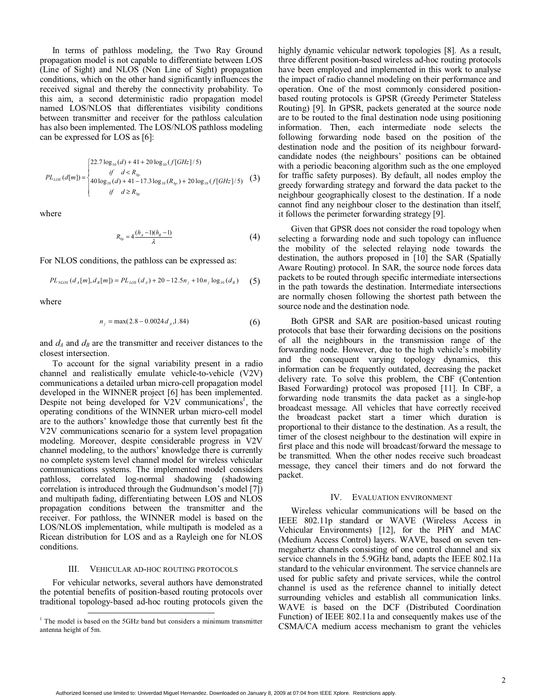In terms of pathloss modeling, the Two Ray Ground propagation model is not capable to differentiate between LOS (Line of Sight) and NLOS (Non Line of Sight) propagation conditions, which on the other hand significantly influences the received signal and thereby the connectivity probability. To this aim, a second deterministic radio propagation model named LOS/NLOS that differentiates visibility conditions between transmitter and receiver for the pathloss calculation has also been implemented. The LOS/NLOS pathloss modeling can be expressed for LOS as [6]:

$$
PL_{LOS}(d[m]) = \begin{cases} 22.7 \log_{10}(d) + 41 + 20 \log_{10}(f[GHz]/5) \\ \text{if} \quad d < R_{bp} \\ 40 \log_{10}(d) + 41 - 17.3 \log_{10}(R_{bp}) + 20 \log_{10}(f[GHz]/5) \\ \text{if} \quad d \ge R_{bp} \end{cases} \tag{3}
$$

where

$$
R_{bp} = 4 \frac{(h_A - 1)(h_B - 1)}{\lambda} \tag{4}
$$

For NLOS conditions, the pathloss can be expressed as:

$$
PL_{NLOS}(d_A[m], d_B[m]) = PL_{LOS}(d_A) + 20 - 12.5n_j + 10n_j \log_{10}(d_B)
$$
 (5)

where

$$
n_j = \max(2.8 - 0.0024 d_A, 1.84) \tag{6}
$$

and  $d_A$  and  $d_B$  are the transmitter and receiver distances to the closest intersection.

To account for the signal variability present in a radio channel and realistically emulate vehicle-to-vehicle (V2V) communications a detailed urban micro-cell propagation model developed in the WINNER project [6] has been implemented. Despite not being developed for  $V2V$  communications<sup>1</sup>, the operating conditions of the WINNER urban micro-cell model are to the authors' knowledge those that currently best fit the V2V communications scenario for a system level propagation modeling. Moreover, despite considerable progress in V2V channel modeling, to the authors' knowledge there is currently no complete system level channel model for wireless vehicular communications systems. The implemented model considers pathloss, correlated log-normal shadowing (shadowing correlation is introduced through the Gudmundson's model [7]) and multipath fading, differentiating between LOS and NLOS propagation conditions between the transmitter and the receiver. For pathloss, the WINNER model is based on the LOS/NLOS implementation, while multipath is modeled as a Ricean distribution for LOS and as a Rayleigh one for NLOS conditions.

# III. VEHICULAR AD-HOC ROUTING PROTOCOLS

For vehicular networks, several authors have demonstrated the potential benefits of position-based routing protocols over traditional topology-based ad-hoc routing protocols given the highly dynamic vehicular network topologies [8]. As a result, three different position-based wireless ad-hoc routing protocols have been employed and implemented in this work to analyse the impact of radio channel modeling on their performance and operation. One of the most commonly considered positionbased routing protocols is GPSR (Greedy Perimeter Stateless Routing) [9]. In GPSR, packets generated at the source node are to be routed to the final destination node using positioning information. Then, each intermediate node selects the following forwarding node based on the position of the destination node and the position of its neighbour forwardcandidate nodes (the neighbours' positions can be obtained with a periodic beaconing algorithm such as the one employed for traffic safety purposes). By default, all nodes employ the greedy forwarding strategy and forward the data packet to the neighbour geographically closest to the destination. If a node cannot find any neighbour closer to the destination than itself, it follows the perimeter forwarding strategy [9].

Given that GPSR does not consider the road topology when selecting a forwarding node and such topology can influence the mobility of the selected relaying node towards the destination, the authors proposed in [10] the SAR (Spatially Aware Routing) protocol. In SAR, the source node forces data packets to be routed through specific intermediate intersections in the path towards the destination. Intermediate intersections are normally chosen following the shortest path between the source node and the destination node.

Both GPSR and SAR are position-based unicast routing protocols that base their forwarding decisions on the positions of all the neighbours in the transmission range of the forwarding node. However, due to the high vehicle's mobility and the consequent varying topology dynamics, this information can be frequently outdated, decreasing the packet delivery rate. To solve this problem, the CBF (Contention Based Forwarding) protocol was proposed [11]. In CBF, a forwarding node transmits the data packet as a single-hop broadcast message. All vehicles that have correctly received the broadcast packet start a timer which duration is proportional to their distance to the destination. As a result, the timer of the closest neighbour to the destination will expire in first place and this node will broadcast/forward the message to be transmitted. When the other nodes receive such broadcast message, they cancel their timers and do not forward the packet.

#### IV. EVALUATION ENVIRONMENT

Wireless vehicular communications will be based on the IEEE 802.11p standard or WAVE (Wireless Access in Vehicular Environments) [12], for the PHY and MAC (Medium Access Control) layers. WAVE, based on seven tenmegahertz channels consisting of one control channel and six service channels in the 5.9GHz band, adapts the IEEE 802.11a standard to the vehicular environment. The service channels are used for public safety and private services, while the control channel is used as the reference channel to initially detect surrounding vehicles and establish all communication links. WAVE is based on the DCF (Distributed Coordination Function) of IEEE 802.11a and consequently makes use of the CSMA/CA medium access mechanism to grant the vehicles

 <sup>1</sup> The model is based on the 5GHz band but considers a minimum transmitter antenna height of 5m.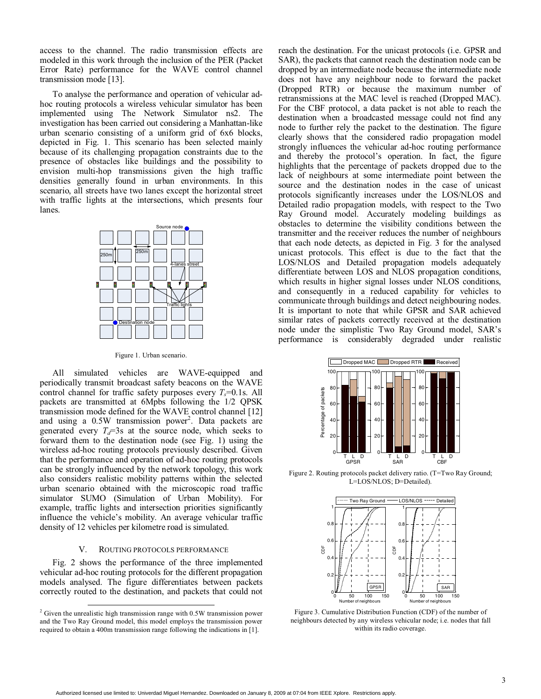access to the channel. The radio transmission effects are modeled in this work through the inclusion of the PER (Packet Error Rate) performance for the WAVE control channel transmission mode [13].

To analyse the performance and operation of vehicular adhoc routing protocols a wireless vehicular simulator has been implemented using The Network Simulator ns2. The investigation has been carried out considering a Manhattan-like urban scenario consisting of a uniform grid of 6x6 blocks, depicted in Fig. 1. This scenario has been selected mainly because of its challenging propagation constraints due to the presence of obstacles like buildings and the possibility to envision multi-hop transmissions given the high traffic densities generally found in urban environments. In this scenario, all streets have two lanes except the horizontal street with traffic lights at the intersections, which presents four lanes.



Figure 1. Urban scenario.

All simulated vehicles are WAVE-equipped and periodically transmit broadcast safety beacons on the WAVE control channel for traffic safety purposes every  $T_s$ =0.1s. All packets are transmitted at 6Mpbs following the 1/2 QPSK transmission mode defined for the WAVE control channel [12] and using a 0.5W transmission power<sup>2</sup>. Data packets are generated every  $T_d = 3s$  at the source node, which seeks to forward them to the destination node (see Fig. 1) using the wireless ad-hoc routing protocols previously described. Given that the performance and operation of ad-hoc routing protocols can be strongly influenced by the network topology, this work also considers realistic mobility patterns within the selected urban scenario obtained with the microscopic road traffic simulator SUMO (Simulation of Urban Mobility). For example, traffic lights and intersection priorities significantly influence the vehicle's mobility. An average vehicular traffic density of 12 vehicles per kilometre road is simulated.

# V. ROUTING PROTOCOLS PERFORMANCE

Fig. 2 shows the performance of the three implemented vehicular ad-hoc routing protocols for the different propagation models analysed. The figure differentiates between packets correctly routed to the destination, and packets that could not

reach the destination. For the unicast protocols (i.e. GPSR and SAR), the packets that cannot reach the destination node can be dropped by an intermediate node because the intermediate node does not have any neighbour node to forward the packet (Dropped RTR) or because the maximum number of retransmissions at the MAC level is reached (Dropped MAC). For the CBF protocol, a data packet is not able to reach the destination when a broadcasted message could not find any node to further rely the packet to the destination. The figure clearly shows that the considered radio propagation model strongly influences the vehicular ad-hoc routing performance and thereby the protocol's operation. In fact, the figure highlights that the percentage of packets dropped due to the lack of neighbours at some intermediate point between the source and the destination nodes in the case of unicast protocols significantly increases under the LOS/NLOS and Detailed radio propagation models, with respect to the Two Ray Ground model. Accurately modeling buildings as obstacles to determine the visibility conditions between the transmitter and the receiver reduces the number of neighbours that each node detects, as depicted in Fig. 3 for the analysed unicast protocols. This effect is due to the fact that the LOS/NLOS and Detailed propagation models adequately differentiate between LOS and NLOS propagation conditions, which results in higher signal losses under NLOS conditions, and consequently in a reduced capability for vehicles to communicate through buildings and detect neighbouring nodes. It is important to note that while GPSR and SAR achieved similar rates of packets correctly received at the destination node under the simplistic Two Ray Ground model, SAR's performance is considerably degraded under realistic



Figure 2. Routing protocols packet delivery ratio. (T=Two Ray Ground; L=LOS/NLOS; D=Detailed).



Figure 3. Cumulative Distribution Function (CDF) of the number of neighbours detected by any wireless vehicular node; i.e. nodes that fall within its radio coverage.

 <sup>2</sup> Given the unrealistic high transmission range with 0.5W transmission power and the Two Ray Ground model, this model employs the transmission power required to obtain a 400m transmission range following the indications in [1].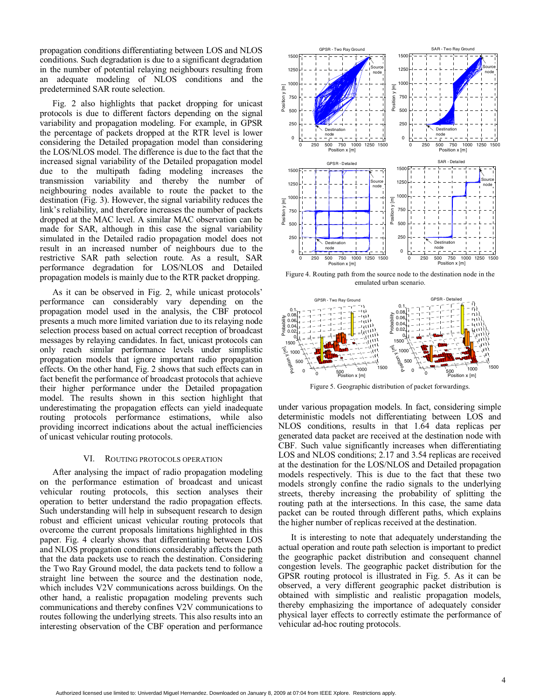propagation conditions differentiating between LOS and NLOS conditions. Such degradation is due to a significant degradation in the number of potential relaying neighbours resulting from an adequate modeling of NLOS conditions and the predetermined SAR route selection.

Fig. 2 also highlights that packet dropping for unicast protocols is due to different factors depending on the signal variability and propagation modeling. For example, in GPSR the percentage of packets dropped at the RTR level is lower considering the Detailed propagation model than considering the LOS/NLOS model. The difference is due to the fact that the increased signal variability of the Detailed propagation model due to the multipath fading modeling increases the transmission variability and thereby the number of neighbouring nodes available to route the packet to the destination (Fig. 3). However, the signal variability reduces the link's reliability, and therefore increases the number of packets dropped at the MAC level. A similar MAC observation can be made for SAR, although in this case the signal variability simulated in the Detailed radio propagation model does not result in an increased number of neighbours due to the restrictive SAR path selection route. As a result, SAR performance degradation for LOS/NLOS and Detailed propagation models is mainly due to the RTR packet dropping.

As it can be observed in Fig. 2, while unicast protocols' performance can considerably vary depending on the propagation model used in the analysis, the CBF protocol presents a much more limited variation due to its relaying node selection process based on actual correct reception of broadcast messages by relaying candidates. In fact, unicast protocols can only reach similar performance levels under simplistic propagation models that ignore important radio propagation effects. On the other hand, Fig. 2 shows that such effects can in fact benefit the performance of broadcast protocols that achieve their higher performance under the Detailed propagation model. The results shown in this section highlight that underestimating the propagation effects can yield inadequate routing protocols performance estimations, while also providing incorrect indications about the actual inefficiencies of unicast vehicular routing protocols.

# VI. ROUTING PROTOCOLS OPERATION

After analysing the impact of radio propagation modeling on the performance estimation of broadcast and unicast vehicular routing protocols, this section analyses their operation to better understand the radio propagation effects. Such understanding will help in subsequent research to design robust and efficient unicast vehicular routing protocols that overcome the current proposals limitations highlighted in this paper. Fig. 4 clearly shows that differentiating between LOS and NLOS propagation conditions considerably affects the path that the data packets use to reach the destination. Considering the Two Ray Ground model, the data packets tend to follow a straight line between the source and the destination node, which includes V2V communications across buildings. On the other hand, a realistic propagation modeling prevents such communications and thereby confines V2V communications to routes following the underlying streets. This also results into an interesting observation of the CBF operation and performance



Figure 4. Routing path from the source node to the destination node in the emulated urban scenario.



Figure 5. Geographic distribution of packet forwardings.

under various propagation models. In fact, considering simple deterministic models not differentiating between LOS and NLOS conditions, results in that 1.64 data replicas per generated data packet are received at the destination node with CBF. Such value significantly increases when differentiating LOS and NLOS conditions; 2.17 and 3.54 replicas are received at the destination for the LOS/NLOS and Detailed propagation models respectively. This is due to the fact that these two models strongly confine the radio signals to the underlying streets, thereby increasing the probability of splitting the routing path at the intersections. In this case, the same data packet can be routed through different paths, which explains the higher number of replicas received at the destination.

It is interesting to note that adequately understanding the actual operation and route path selection is important to predict the geographic packet distribution and consequent channel congestion levels. The geographic packet distribution for the GPSR routing protocol is illustrated in Fig. 5. As it can be observed, a very different geographic packet distribution is obtained with simplistic and realistic propagation models, thereby emphasizing the importance of adequately consider physical layer effects to correctly estimate the performance of vehicular ad-hoc routing protocols.